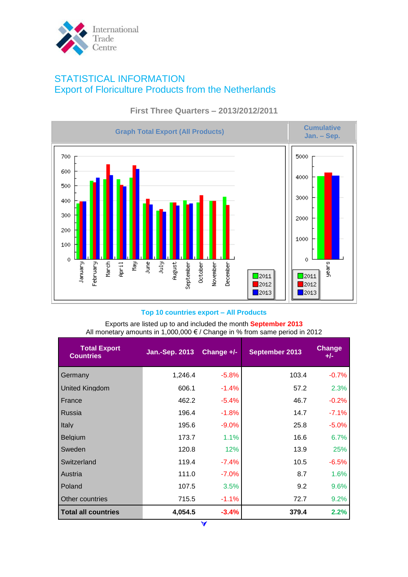

# STATISTICAL INFORMATION Export of Floriculture Products from the Netherlands



## **First Three Quarters – 2013/2012/2011**

## **Top 10 countries export – All Products**

Exports are listed up to and included the month **September 2013** All monetary amounts in 1,000,000 € / Change in % from same period in 2012

| <b>Total Export</b><br><b>Countries</b> | <b>Jan.-Sep. 2013</b> | Change $+/-$ | September 2013 | Change<br>$+/-$ |
|-----------------------------------------|-----------------------|--------------|----------------|-----------------|
| Germany                                 | 1,246.4               | $-5.8%$      | 103.4          | $-0.7%$         |
| <b>United Kingdom</b>                   | 606.1                 | $-1.4%$      | 57.2           | 2.3%            |
| France                                  | 462.2                 | $-5.4%$      | 46.7           | $-0.2%$         |
| Russia                                  | 196.4                 | $-1.8%$      | 14.7           | $-7.1%$         |
| Italy                                   | 195.6                 | $-9.0\%$     | 25.8           | $-5.0%$         |
| <b>Belgium</b>                          | 173.7                 | 1.1%         | 16.6           | 6.7%            |
| Sweden                                  | 120.8                 | 12%          | 13.9           | 25%             |
| Switzerland                             | 119.4                 | $-7.4\%$     | 10.5           | $-6.5%$         |
| Austria                                 | 111.0                 | $-7.0\%$     | 8.7            | 1.6%            |
| Poland                                  | 107.5                 | 3.5%         | 9.2            | 9.6%            |
| Other countries                         | 715.5                 | $-1.1%$      | 72.7           | 9.2%            |
| <b>Total all countries</b>              | 4,054.5               | $-3.4\%$     | 379.4          | 2.2%            |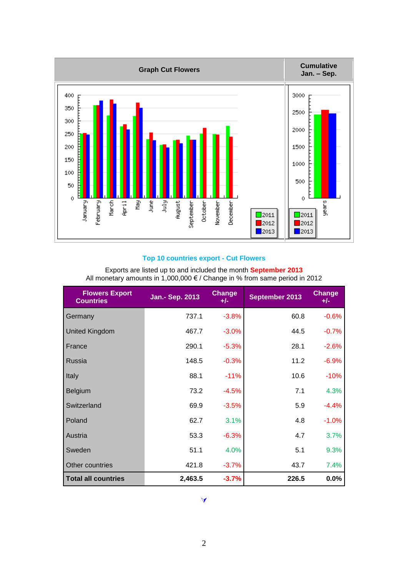

## **Top 10 countries export - Cut Flowers**

| <b>Flowers Export</b><br><b>Countries</b> | Jan.- Sep. 2013 | <b>Change</b><br>$+/-$ | September 2013 | <b>Change</b><br>$+/-$ |
|-------------------------------------------|-----------------|------------------------|----------------|------------------------|
| Germany                                   | 737.1           | $-3.8%$                | 60.8           | $-0.6%$                |
| <b>United Kingdom</b>                     | 467.7           | $-3.0%$                | 44.5           | $-0.7%$                |
| France                                    | 290.1           | $-5.3%$                | 28.1           | $-2.6%$                |
| <b>Russia</b>                             | 148.5           | $-0.3%$                | 11.2           | $-6.9%$                |
| Italy                                     | 88.1            | $-11%$                 | 10.6           | $-10%$                 |
| Belgium                                   | 73.2            | $-4.5%$                | 7.1            | 4.3%                   |
| Switzerland                               | 69.9            | $-3.5%$                | 5.9            | $-4.4%$                |
| Poland                                    | 62.7            | 3.1%                   | 4.8            | $-1.0%$                |
| Austria                                   | 53.3            | $-6.3%$                | 4.7            | 3.7%                   |
| Sweden                                    | 51.1            | 4.0%                   | 5.1            | 9.3%                   |
| Other countries                           | 421.8           | $-3.7%$                | 43.7           | 7.4%                   |
| <b>Total all countries</b>                | 2,463.5         | $-3.7%$                | 226.5          | 0.0%                   |

Exports are listed up to and included the month **September 2013** All monetary amounts in 1,000,000 € / Change in % from same period in 2012

## $\blacktriangleleft$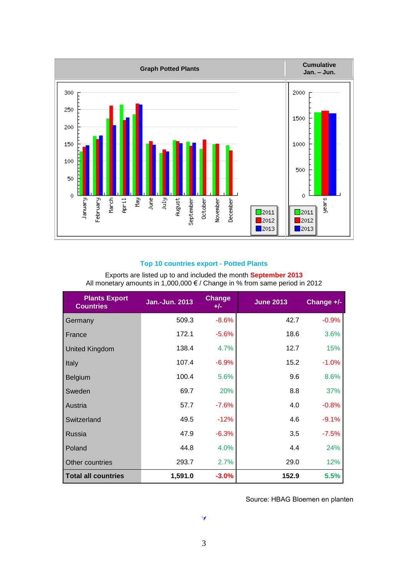

## **Top 10 countries export - Potted Plants**

| <b>Plants Export</b><br><b>Countries</b> | <b>Jan.-Jun. 2013</b> | <b>Change</b><br>$+/-$ | <b>June 2013</b> | Change +/- |
|------------------------------------------|-----------------------|------------------------|------------------|------------|
| Germany                                  | 509.3                 | $-8.6%$                | 42.7             | $-0.9%$    |
| France                                   | 172.1                 | $-5.6%$                | 18.6             | 3.6%       |
| <b>United Kingdom</b>                    | 138.4                 | 4.7%                   | 12.7             | 15%        |
| Italy                                    | 107.4                 | $-6.9%$                | 15.2             | $-1.0\%$   |
| <b>Belgium</b>                           | 100.4                 | 5.6%                   | 9.6              | 8.6%       |
| Sweden                                   | 69.7                  | 20%                    | 8.8              | 37%        |
| Austria                                  | 57.7                  | $-7.6%$                | 4.0              | $-0.8%$    |
| Switzerland                              | 49.5                  | $-12%$                 | 4.6              | $-9.1%$    |
| Russia                                   | 47.9                  | $-6.3%$                | 3.5              | $-7.5%$    |
| Poland                                   | 44.8                  | 4.0%                   | 4.4              | 24%        |
| Other countries                          | 293.7                 | 2.7%                   | 29.0             | 12%        |
| <b>Total all countries</b>               | 1,591.0               | $-3.0%$                | 152.9            | 5.5%       |

Exports are listed up to and included the month **September 2013** All monetary amounts in 1,000,000 € / Change in % from same period in 2012

Source: HBAG Bloemen en planten

3